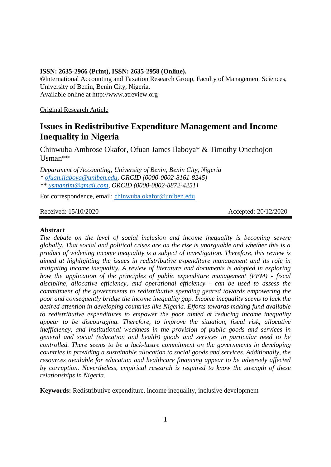#### **ISSN: 2635-2966 (Print), ISSN: 2635-2958 (Online).**

**©**International Accounting and Taxation Research Group, Faculty of Management Sciences, University of Benin, Benin City, Nigeria. Available online at http://www.atreview.org

Original Research Article

# **Issues in Redistributive Expenditure Management and Income Inequality in Nigeria**

Chinwuba Ambrose Okafor, Ofuan James Ilaboya\* & Timothy Onechojon Usman\*\*

*Department of Accounting, University of Benin, Benin City, Nigeria \* [ofuan.ilaboya@uniben.edu,](mailto:ofuan.ilaboya@uniben.edu) ORCID (0000-0002-8161-8245) \*\* [usmantim@gmail.com,](mailto:usmantim@gmail.com) ORCID (0000-0002-8872-4251)*

For correspondence, email: [chinwuba.okafor@uniben.edu](mailto:chinwuba.okafor@uniben.edu)

## Received: 15/10/2020 Accepted: 20/12/2020

#### **Abstract**

*The debate on the level of social inclusion and income inequality is becoming severe globally. That social and political crises are on the rise is unarguable and whether this is a product of widening income inequality is a subject of investigation. Therefore, this review is aimed at highlighting the issues in redistributive expenditure management and its role in mitigating income inequality. A review of literature and documents is adopted in exploring how the application of the principles of public expenditure management (PEM) - fiscal discipline, allocative efficiency, and operational efficiency - can be used to assess the commitment of the governments to redistributive spending geared towards empowering the poor and consequently bridge the income inequality gap. Income inequality seems to lack the desired attention in developing countries like Nigeria. Efforts towards making fund available to redistributive expenditures to empower the poor aimed at reducing income inequality appear to be discouraging. Therefore, to improve the situation, fiscal risk, allocative inefficiency, and institutional weakness in the provision of public goods and services in general and social (education and health) goods and services in particular need to be controlled. There seems to be a lack-lustre commitment on the governments in developing countries in providing a sustainable allocation to social goods and services. Additionally, the resources available for education and healthcare financing appear to be adversely affected by corruption. Nevertheless, empirical research is required to know the strength of these relationships in Nigeria.*

**Keywords:** Redistributive expenditure, income inequality, inclusive development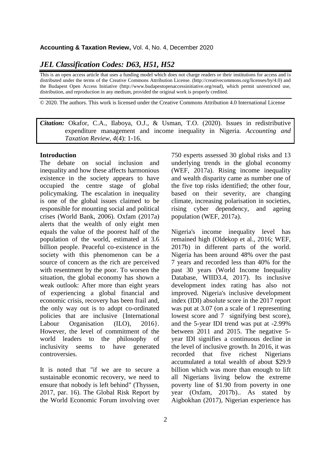## *JEL Classification Codes: D63, H51, H52*

This is an open access article that uses a funding model which does not charge readers or their institutions for access and is distributed under the terms of the Creative Commons Attribution License. (http://creativecommons.org/licenses/by/4.0) and the Budapest Open Access Initiative (http://www.budapestopenaccessinitiative.org/read), which permit unrestricted use, distribution, and reproduction in any medium, provided the original work is properly credited.

© 2020. The authors. This work is licensed under the Creative Commons Attribution 4.0 International License

*Citation:* Okafor, C.A., Ilaboya, O.J., & Usman, T.O. (2020). Issues in redistributive expenditure management and income inequality in Nigeria. *Accounting and Taxation Review, 4*(4): 1-16.

### **Introduction**

The debate on social inclusion and inequality and how these affects harmonious existence in the society appears to have occupied the centre stage of global policymaking. The escalation in inequality is one of the global issues claimed to be responsible for mounting social and political crises (World Bank, 2006). Oxfam (2017a) alerts that the wealth of only eight men equals the value of the poorest half of the population of the world, estimated at 3.6 billion people. Peaceful co-existence in the society with this phenomenon can be a source of concern as the rich are perceived with resentment by the poor. To worsen the situation, the global economy has shown a weak outlook: After more than eight years of experiencing a global financial and economic crisis, recovery has been frail and, the only way out is to adopt co-ordinated policies that are inclusive {International Labour Organisation (ILO), 2016. However, the level of commitment of the world leaders to the philosophy of inclusivity seems to have generated controversies.

It is noted that "if we are to secure a sustainable economic recovery, we need to ensure that nobody is left behind" (Thyssen, 2017, par. 16). The Global Risk Report by the World Economic Forum involving over 750 experts assessed 30 global risks and 13 underlying trends in the global economy (WEF, 2017a). Rising income inequality and wealth disparity came as number one of the five top risks identified; the other four, based on their severity, are changing climate, increasing polarisation in societies, rising cyber dependency, and ageing population (WEF, 2017a).

Nigeria's income inequality level has remained high (Oldekop et al., 2016; WEF, 2017b) in different parts of the world. Nigeria has been around 48% over the past 7 years and recorded less than 40% for the past 30 years (World Income Inequality Database, WIID3.4, 2017). Its inclusive development index rating has also not improved. Nigeria's inclusive development index (IDI) absolute score in the 2017 report was put at 3.07 (on a scale of 1 representing lowest score and 7 signifying best score), and the 5-year IDI trend was put at -2.99% between 2011 and 2015. The negative 5 year IDI signifies a continuous decline in the level of inclusive growth. In 2016, it was recorded that five richest Nigerians accumulated a total wealth of about \$29.9 billion which was more than enough to lift all Nigerians living below the extreme poverty line of \$1.90 from poverty in one year (Oxfam, 2017b).. As stated by Aigbokhan (2017), Nigerian experience has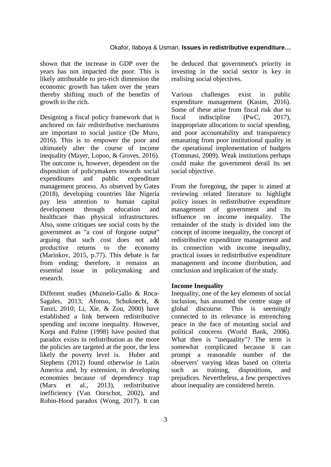shown that the increase in GDP over the years has not impacted the poor. This is likely attributable to pro-rich dimension the economic growth has taken over the years thereby shifting much of the benefits of growth to the rich.

Designing a fiscal policy framework that is anchored on fair redistributive mechanisms are important to social justice (De Muro, 2016). This is to empower the poor and ultimately alter the course of income inequality (Mayer, Lopoo, & Groves, 2016). The outcome is, however, dependent on the disposition of policymakers towards social expenditures and public expenditure management process. As observed by Gates (2018), developing countries like Nigeria pay less attention to human capital development through education and healthcare than physical infrastructures. Also, some critiques see social costs by the government as "a cost of forgone output" arguing that such cost does not add productive returns to the economy (Marinkov, 2015, p.77). This debate is far from ending; therefore, it remains an essential issue in policymaking and research.

Different studies (Muinelo-Gallo & Roca-Sagales, 2013; Afonso, Schuknecht, & Tanzi, 2010; Li, Xie, & Zou, 2000) have established a link between redistributive spending and income inequality. However, Korpi and Palme (1998) have posited that paradox exists in redistribution as the more the policies are targeted at the poor, the less likely the poverty level is. Huber and Stephens (2012) found otherwise in Latin America and, by extension, in developing economies because of dependency trap (Marx et al., 2013), redistributive inefficiency (Van Oorschot, 2002), and Robin-Hood paradox (Wong, 2017). It can

be deduced that government's priority in investing in the social sector is key in realising social objectives.

Various challenges exist in public expenditure management (Kasim, 2016). Some of these arise from fiscal risk due to fiscal indiscipline (PwC, 2017), inappropriate allocations to social spending, and poor accountability and transparency emanating from poor institutional quality in the operational implementation of budgets (Tommasi, 2009). Weak institutions perhaps could make the government derail its set social objective.

From the foregoing, the paper is aimed at reviewing related literature to highlight policy issues in redistributive expenditure management of government and its influence on income inequality. The remainder of the study is divided into the concept of income inequality, the concept of redistributive expenditure management and its connection with income inequality, practical issues in redistributive expenditure management and income distribution, and conclusion and implication of the study.

#### **Income Inequality**

Inequality, one of the key elements of social inclusion, has assumed the centre stage of global discourse. This is seemingly connected to its relevance in entrenching peace in the face of mounting social and political concerns (World Bank, 2006). What then is "inequality"? The term is somewhat complicated because it can prompt a reasonable number of the observers' varying ideas based on criteria such as training, dispositions, and prejudices. Nevertheless, a few perspectives about inequality are considered herein.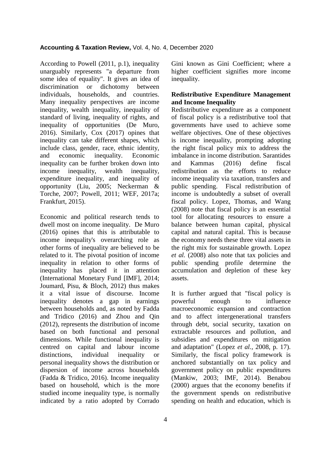According to Powell (2011, p.1), inequality unarguably represents "a departure from some idea of equality". It gives an idea of discrimination or dichotomy between individuals, households, and countries. Many inequality perspectives are income inequality, wealth inequality, inequality of standard of living, inequality of rights, and inequality of opportunities (De Muro, 2016). Similarly, Cox (2017) opines that inequality can take different shapes, which include class, gender, race, ethnic identity, and economic inequality. Economic inequality can be further broken down into income inequality, wealth inequality, expenditure inequality, and inequality of opportunity (Liu, 2005; Neckerman & Torche, 2007; Powell, 2011; WEF, 2017a; Frankfurt, 2015).

Economic and political research tends to dwell most on income inequality. De Muro (2016) opines that this is attributable to income inequality's overarching role as other forms of inequality are believed to be related to it. The pivotal position of income inequality in relation to other forms of inequality has placed it in attention (International Monetary Fund [IMF], 2014; Joumard, Pisu, & Bloch, 2012) thus makes it a vital issue of discourse. Income inequality denotes a gap in earnings between households and, as noted by Fadda and Tridico (2016) and Zhou and Qin (2012), represents the distribution of income based on both functional and personal dimensions. While functional inequality is centred on capital and labour income distinctions, individual inequality or personal inequality shows the distribution or dispersion of income across households (Fadda & Tridico, 2016). Income inequality based on household, which is the more studied income inequality type, is normally indicated by a ratio adopted by Corrado

Gini known as Gini Coefficient; where a higher coefficient signifies more income inequality.

## **Redistributive Expenditure Management and Income Inequality**

Redistributive expenditure as a component of fiscal policy is a redistributive tool that governments have used to achieve some welfare objectives. One of these objectives is income inequality, prompting adopting the right fiscal policy mix to address the imbalance in income distribution. Sarantides and Kammas (2016) define fiscal redistribution as the efforts to reduce income inequality via taxation, transfers and public spending. Fiscal redistribution of income is undoubtedly a subset of overall fiscal policy. Lopez, Thomas, and Wang (2008) note that fiscal policy is an essential tool for allocating resources to ensure a balance between human capital, physical capital and natural capital. This is because the economy needs these three vital assets in the right mix for sustainable growth. Lopez *et al.* (2008) also note that tax policies and public spending profile determine the accumulation and depletion of these key assets.

It is further argued that "fiscal policy is powerful enough to influence macroeconomic expansion and contraction and to affect intergenerational transfers through debt, social security, taxation on extractable resources and pollution, and subsidies and expenditures on mitigation and adaptation" (Lopez *et al.,* 2008, p. 17). Similarly, the fiscal policy framework is anchored substantially on tax policy and government policy on public expenditures (Mankiw, 2003; IMF, 2014). Benabou (2000) argues that the economy benefits if the government spends on redistributive spending on health and education, which is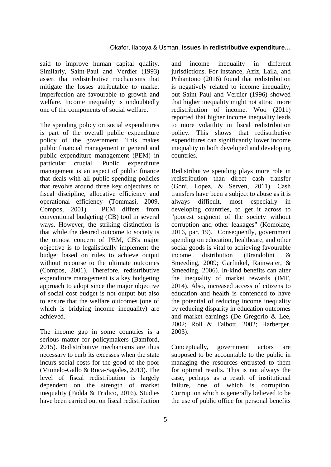said to improve human capital quality. Similarly, Saint-Paul and Verdier (1993) assert that redistributive mechanisms that mitigate the losses attributable to market imperfection are favourable to growth and welfare. Income inequality is undoubtedly one of the components of social welfare.

The spending policy on social expenditures is part of the overall public expenditure policy of the government. This makes public financial management in general and public expenditure management (PEM) in particular crucial. Public expenditure management is an aspect of public finance that deals with all public spending policies that revolve around three key objectives of fiscal discipline, allocative efficiency and operational efficiency (Tommasi, 2009, Compos, 2001). PEM differs from conventional budgeting (CB) tool in several ways. However, the striking distinction is that while the desired outcome to society is the utmost concern of PEM, CB's major objective is to legalistically implement the budget based on rules to achieve output without recourse to the ultimate outcomes (Compos, 2001). Therefore, redistributive expenditure management is a key budgeting approach to adopt since the major objective of social cost budget is not output but also to ensure that the welfare outcomes (one of which is bridging income inequality) are achieved.

The income gap in some countries is a serious matter for policymakers (Bamford, 2015). Redistributive mechanisms are thus necessary to curb its excesses when the state incurs social costs for the good of the poor (Muinelo-Gallo & Roca-Sagales, 2013). The level of fiscal redistribution is largely dependent on the strength of market inequality (Fadda & Tridico, 2016). Studies have been carried out on fiscal redistribution

and income inequality in different jurisdictions. For instance, Aziz, Laila, and Prihantono (2016) found that redistribution is negatively related to income inequality, but Saint Paul and Verdier (1996) showed that higher inequality might not attract more redistribution of income. Woo (2011) reported that higher income inequality leads to more volatility in fiscal redistribution policy. This shows that redistributive expenditures can significantly lower income inequality in both developed and developing countries.

Redistributive spending plays more role in redistribution than direct cash transfer (Goni, Lopez, & Serven, 2011). Cash transfers have been a subject to abuse as it is always difficult, most especially in developing countries, to get it across to "poorest segment of the society without corruption and other leakages" (Komolafe, 2016, par. 19). Consequently, government spending on education, healthcare, and other social goods is vital to achieving favourable income distribution (Brandolini & Smeeding, 2009; Garfinkel, Rainwater, & Smeeding, 2006). In-kind benefits can alter the inequality of market rewards (IMF, 2014). Also, increased access of citizens to education and health is contended to have the potential of reducing income inequality by reducing disparity in education outcomes and market earnings (De Gregorio & Lee, 2002; Roll & Talbott, 2002; Harberger, 2003).

Conceptually, government actors are supposed to be accountable to the public in managing the resources entrusted to them for optimal results. This is not always the case, perhaps as a result of institutional failure, one of which is corruption. Corruption which is generally believed to be the use of public office for personal benefits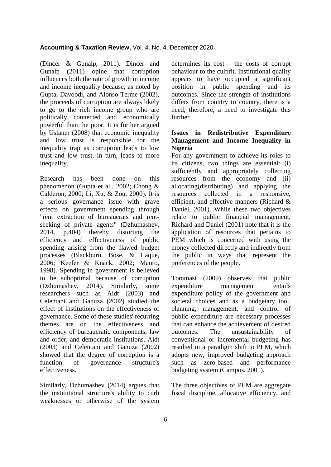(Dincer & Gunalp, 2011). Dincer and Gunalp (2011) opine that corruption influences both the rate of growth in income and income inequality because, as noted by Gupta, Davoodi, and Alonso-Terme (2002), the proceeds of corruption are always likely to go to the rich income group who are politically connected and economically powerful than the poor. It is further argued by Uslaner (2008) that economic inequality and low trust is responsible for the inequality trap as corruption leads to low trust and low trust, in turn, leads to more inequality.

Research has been done on this phenomenon (Gupta et al., 2002; Chong & Calderon, 2000; Li, Xu, & Zou, 2000). It is a serious governance issue with grave effects on government spending through "rent extraction of bureaucrats and rentseeking of private agents" (Dzhumashev, 2014, p.404) thereby distorting the efficiency and effectiveness of public spending arising from the flawed budget processes (Blackburn, Bose, & Haque, 2006; Keefer & Knack, 2002; Mauro, 1998). Spending in government is believed to be suboptimal because of corruption (Dzhumashev, 2014). Similarly, some researchers such as Aidt (2003) and Celentani and Ganuza (2002) studied the effect of institutions on the effectiveness of governance. Some of these studies' recurring themes are on the effectiveness and efficiency of bureaucratic components, law and order, and democratic institutions. Aidt (2003) and Celentani and Ganuza (2002) showed that the degree of corruption is a function of governance structure's effectiveness.

Similarly, Dzhumashev (2014) argues that the institutional structure's ability to curb weaknesses or otherwise of the system

determines its cost – the costs of corrupt behaviour to the culprit. Institutional quality appears to have occupied a significant position in public spending and its outcomes. Since the strength of institutions differs from country to country, there is a need, therefore, a need to investigate this further.

## **Issues in Redistributive Expenditure Management and Income Inequality in Nigeria**

For any government to achieve its roles to its citizens, two things are essential: (i) sufficiently and appropriately collecting resources from the economy and (ii) allocating(distributing) and applying the resources collected in a responsive, efficient, and effective manners (Richard & Daniel, 2001). While these two objectives relate to public financial management, Richard and Daniel (2001) note that it is the application of resources that pertains to PEM which is concerned with using the money collected directly and indirectly from the public in ways that represent the preferences of the people.

Tommasi (2009) observes that public expenditure management entails expenditure policy of the government and societal choices and as a budgetary tool, planning, management, and control of public expenditure are necessary processes that can enhance the achievement of desired outcomes. The unsustainability of conventional or incremental budgeting has resulted in a paradigm shift to PEM, which adopts new, improved budgeting approach such as zero-based and performance budgeting system (Campos, 2001).

The three objectives of PEM are aggregate fiscal discipline, allocative efficiency, and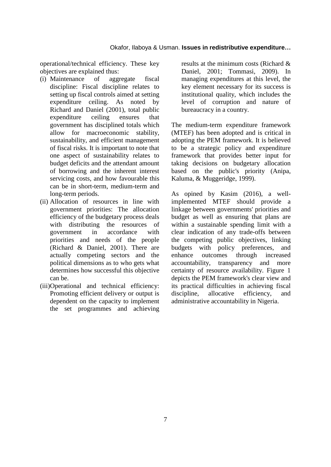operational/technical efficiency. These key objectives are explained thus:

- (i) Maintenance of aggregate fiscal discipline: Fiscal discipline relates to setting up fiscal controls aimed at setting expenditure ceiling. As noted by Richard and Daniel (2001), total public expenditure ceiling ensures that government has disciplined totals which allow for macroeconomic stability, sustainability, and efficient management of fiscal risks. It is important to note that one aspect of sustainability relates to budget deficits and the attendant amount of borrowing and the inherent interest servicing costs, and how favourable this can be in short-term, medium-term and long-term periods.
- (ii) Allocation of resources in line with government priorities: The allocation efficiency of the budgetary process deals with distributing the resources of government in accordance with priorities and needs of the people (Richard & Daniel, 2001). There are actually competing sectors and the political dimensions as to who gets what determines how successful this objective can be.
- (iii)Operational and technical efficiency: Promoting efficient delivery or output is dependent on the capacity to implement the set programmes and achieving

results at the minimum costs (Richard & Daniel, 2001; Tommasi, 2009). In managing expenditures at this level, the key element necessary for its success is institutional quality, which includes the level of corruption and nature of bureaucracy in a country.

The medium-term expenditure framework (MTEF) has been adopted and is critical in adopting the PEM framework. It is believed to be a strategic policy and expenditure framework that provides better input for taking decisions on budgetary allocation based on the public's priority (Anipa, Kaluma, & Muggeridge, 1999).

As opined by Kasim (2016), a wellimplemented MTEF should provide a linkage between governments' priorities and budget as well as ensuring that plans are within a sustainable spending limit with a clear indication of any trade-offs between the competing public objectives, linking budgets with policy preferences, and enhance outcomes through increased accountability, transparency and more certainty of resource availability. Figure 1 depicts the PEM framework's clear view and its practical difficulties in achieving fiscal discipline, allocative efficiency, and administrative accountability in Nigeria.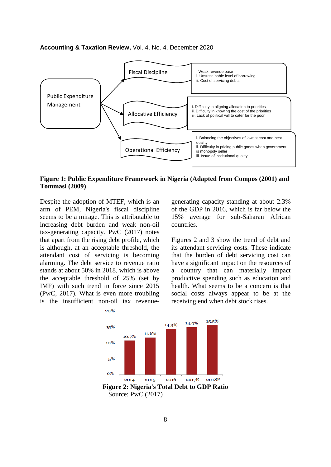

**Figure 1: Public Expenditure Framework in Nigeria (Adapted from Compos (2001) and Tommasi (2009)** 

Operational Efficiency

Despite the adoption of MTEF, which is an arm of PEM, Nigeria's fiscal discipline seems to be a mirage. This is attributable to increasing debt burden and weak non-oil tax-generating capacity. PwC (2017) notes that apart from the rising debt profile, which is although, at an acceptable threshold, the attendant cost of servicing is becoming alarming. The debt service to revenue ratio stands at about 50% in 2018, which is above the acceptable threshold of 25% (set by IMF) with such trend in force since 2015 (PwC, 2017). What is even more troubling is the insufficient non-oil tax revenue-

20%

generating capacity standing at about 2.3% of the GDP in 2016, which is far below the 15% average for sub-Saharan African countries.

ii. Difficulty in pricing public goods when government

quality

is monopoly seller iii. Issue of institutional quality

Figures 2 and 3 show the trend of debt and its attendant servicing costs. These indicate that the burden of debt servicing cost can have a significant impact on the resources of a country that can materially impact productive spending such as education and health. What seems to be a concern is that social costs always appear to be at the receiving end when debt stock rises.



8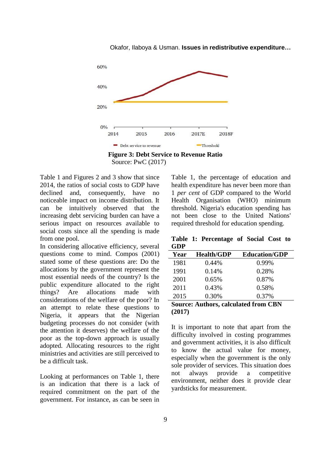

Okafor, Ilaboya & Usman. **Issues in redistributive expenditure…**



Table 1 and Figures 2 and 3 show that since 2014, the ratios of social costs to GDP have declined and, consequently, have no noticeable impact on income distribution. It can be intuitively observed that the increasing debt servicing burden can have a serious impact on resources available to social costs since all the spending is made from one pool.

In considering allocative efficiency, several questions come to mind. Compos (2001) stated some of these questions are: Do the allocations by the government represent the most essential needs of the country? Is the public expenditure allocated to the right things? Are allocations made with considerations of the welfare of the poor? In an attempt to relate these questions to Nigeria, it appears that the Nigerian budgeting processes do not consider (with the attention it deserves) the welfare of the poor as the top-down approach is usually adopted. Allocating resources to the right ministries and activities are still perceived to be a difficult task.

Looking at performances on Table 1, there is an indication that there is a lack of required commitment on the part of the government. For instance, as can be seen in

Table 1, the percentage of education and health expenditure has never been more than 1 *per cent* of GDP compared to the World Health Organisation (WHO) minimum threshold. Nigeria's education spending has not been close to the United Nations' required threshold for education spending.

**Table 1: Percentage of Social Cost to GDP**

| Year | <b>Health/GDP</b> | <b>Education/GDP</b> |
|------|-------------------|----------------------|
| 1981 | 0.44%             | 0.99%                |
| 1991 | 0.14%             | 0.28%                |
| 2001 | 0.65%             | 0.87%                |
| 2011 | 0.43%             | 0.58%                |
| 2015 | 0.30%             | 0.37%                |
|      |                   |                      |

**Source: Authors, calculated from CBN (2017)**

It is important to note that apart from the difficulty involved in costing programmes and government activities, it is also difficult to know the actual value for money, especially when the government is the only sole provider of services. This situation does not always provide a competitive environment, neither does it provide clear yardsticks for measurement.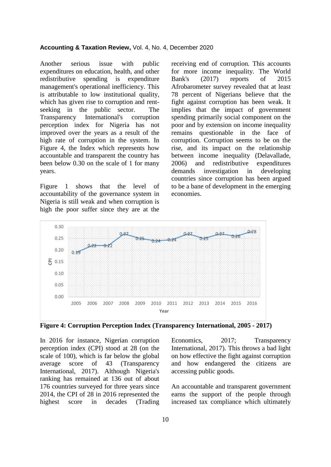Another serious issue with public expenditures on education, health, and other redistributive spending is expenditure management's operational inefficiency. This is attributable to low institutional quality, which has given rise to corruption and rentseeking in the public sector. The Transparency International's corruption perception index for Nigeria has not improved over the years as a result of the high rate of corruption in the system. In Figure 4, the Index which represents how accountable and transparent the country has been below 0.30 on the scale of 1 for many years.

Figure 1 shows that the level of accountability of the governance system in Nigeria is still weak and when corruption is high the poor suffer since they are at the receiving end of corruption. This accounts for more income inequality. The World Bank's (2017) reports of 2015 Afrobarometer survey revealed that at least 78 percent of Nigerians believe that the fight against corruption has been weak. It implies that the impact of government spending primarily social component on the poor and by extension on income inequality remains questionable in the face of corruption. Corruption seems to be on the rise, and its impact on the relationship between income inequality (Delavallade, 2006) and redistributive expenditures demands investigation in developing countries since corruption has been argued to be a bane of development in the emerging economies.



**Figure 4: Corruption Perception Index (Transparency International, 2005 - 2017)**

In 2016 for instance, Nigerian corruption perception index (CPI) stood at 28 (on the scale of 100), which is far below the global average score of 43 (Transparency International, 2017). Although Nigeria's ranking has remained at 136 out of about 176 countries surveyed for three years since 2014, the CPI of 28 in 2016 represented the highest score in decades (Trading

Economics, 2017; Transparency International, 2017). This throws a bad light on how effective the fight against corruption and how endangered the citizens are accessing public goods.

An accountable and transparent government earns the support of the people through increased tax compliance which ultimately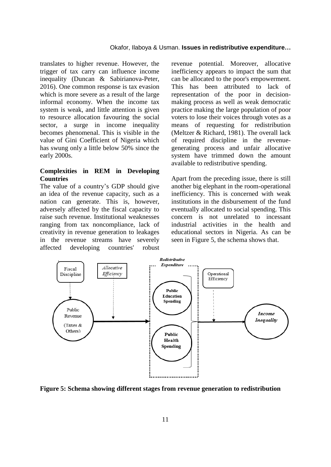translates to higher revenue. However, the trigger of tax carry can influence income inequality (Duncan & Sabirianova-Peter, 2016). One common response is tax evasion which is more severe as a result of the large informal economy. When the income tax system is weak, and little attention is given to resource allocation favouring the social sector, a surge in income inequality becomes phenomenal. This is visible in the value of Gini Coefficient of Nigeria which has swung only a little below 50% since the early 2000s.

#### **Complexities in REM in Developing Countries**

The value of a country's GDP should give an idea of the revenue capacity, such as a nation can generate. This is, however, adversely affected by the fiscal capacity to raise such revenue. Institutional weaknesses ranging from tax noncompliance, lack of creativity in revenue generation to leakages in the revenue streams have severely affected developing countries' robust revenue potential. Moreover, allocative inefficiency appears to impact the sum that can be allocated to the poor's empowerment. This has been attributed to lack of representation of the poor in decisionmaking process as well as weak democratic practice making the large population of poor voters to lose their voices through votes as a means of requesting for redistribution (Meltzer & Richard, 1981). The overall lack of required discipline in the revenuegenerating process and unfair allocative system have trimmed down the amount available to redistributive spending.

Apart from the preceding issue, there is still another big elephant in the room-operational inefficiency. This is concerned with weak institutions in the disbursement of the fund eventually allocated to social spending. This concern is not unrelated to incessant industrial activities in the health and educational sectors in Nigeria. As can be seen in Figure 5, the schema shows that.



**Figure 5: Schema showing different stages from revenue generation to redistribution**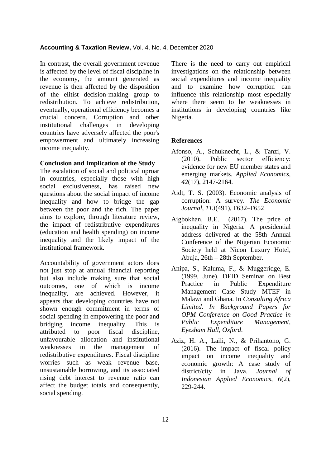In contrast, the overall government revenue is affected by the level of fiscal discipline in the economy, the amount generated as revenue is then affected by the disposition of the elitist decision-making group to redistribution. To achieve redistribution, eventually, operational efficiency becomes a crucial concern. Corruption and other institutional challenges in developing countries have adversely affected the poor's empowerment and ultimately increasing income inequality.

#### **Conclusion and Implication of the Study**

The escalation of social and political uproar in countries, especially those with high social exclusiveness, has raised new questions about the social impact of income inequality and how to bridge the gap between the poor and the rich. The paper aims to explore, through literature review, the impact of redistributive expenditures (education and health spending) on income inequality and the likely impact of the institutional framework.

Accountability of government actors does not just stop at annual financial reporting but also include making sure that social outcomes, one of which is income inequality, are achieved. However, it appears that developing countries have not shown enough commitment in terms of social spending in empowering the poor and bridging income inequality. This is attributed to poor fiscal discipline, unfavourable allocation and institutional weaknesses in the management of redistributive expenditures. Fiscal discipline worries such as weak revenue base, unsustainable borrowing, and its associated rising debt interest to revenue ratio can affect the budget totals and consequently, social spending.

There is the need to carry out empirical investigations on the relationship between social expenditures and income inequality and to examine how corruption can influence this relationship most especially where there seem to be weaknesses in institutions in developing countries like Nigeria.

#### **References**

- Afonso, A., Schuknecht, L., & Tanzi, V. (2010). Public sector efficiency: evidence for new EU member states and emerging markets. *Applied Economics*, *42*(17), 2147-2164.
- Aidt, T. S. (2003). Economic analysis of corruption: A survey. *The Economic Journal*, *113*(491), F632–F652
- Aigbokhan, B.E. (2017). The price of inequality in Nigeria. A presidential address delivered at the 58th Annual Conference of the Nigerian Economic Society held at Nicon Luxury Hotel, Abuja, 26th – 28th September.
- Anipa, S., Kaluma, F., & Muggeridge, E. (1999, June). DFID Seminar on Best Practice in Public Expenditure Management Case Study MTEF in Malawi and Ghana. In *Consulting Africa Limited. In Background Papers for OPM Conference on Good Practice in Public Expenditure Management, Eyesham Hall, Oxford*.
- Aziz, H. A., Laili, N., & Prihantono, G. (2016). The impact of fiscal policy impact on income inequality and economic growth: A case study of district/city in Java. *Journal of Indonesian Applied Economics*, *6*(2), 229-244.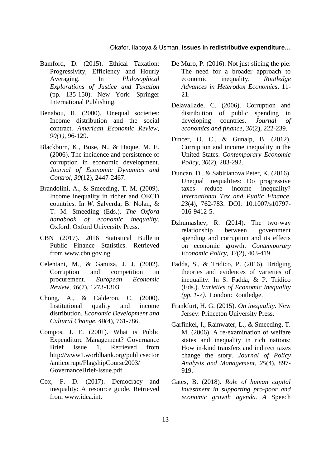#### Okafor, Ilaboya & Usman. **Issues in redistributive expenditure…**

- Bamford, D. (2015). Ethical Taxation: Progressivity, Efficiency and Hourly Averaging. In *Philosophical Explorations of Justice and Taxation* (pp. 135-150). New York: Springer International Publishing.
- Benabou, R. (2000). Unequal societies: Income distribution and the social contract. *American Economic Review, 90(1),* 96-129.
- Blackburn, K., Bose, N., & Haque, M. E. (2006). The incidence and persistence of corruption in economic development. *Journal of Economic Dynamics and Control*, *30*(12), 2447-2467.
- Brandolini, A., & Smeeding, T. M. (2009). Income inequality in richer and OECD countries. In *W.* Salverda, B. Nolan, & T. M. Smeeding (Eds.). *The Oxford handbook of economic inequality*. Oxford: Oxford University Press.
- CBN (2017). 2016 Statistical Bulletin Public Finance Statistics. Retrieved from www.cbn.gov.ng.
- Celentani, M., & Ganuza, J. J. (2002). Corruption and competition in procurement. *European Economic Review*, *46*(7), 1273-1303.
- Chong, A., & Calderon, C. (2000). Institutional quality and income distribution. *Economic Development and Cultural Change*, *48*(4), 761-786.
- Compos, J. E. (2001). What is Public Expenditure Management? Governance Brief Issue 1. Retrieved from http://www1.worldbank.org/publicsector /anticorrupt/FlagshipCourse2003/ GovernanceBrief-Issue.pdf.
- Cox, F. D. (2017). Democracy and inequality: A resource guide. Retrieved from www.idea.int.
- De Muro, P. (2016). Not just slicing the pie: The need for a broader approach to economic inequality. *Routledge Advances in Heterodox Economics*, 11- 21.
- Delavallade, C. (2006). Corruption and distribution of public spending in developing countries. *Journal of economics and finance*, *30*(2), 222-239.
- Dincer, O. C., & Gunalp, B. (2012). Corruption and income inequality in the United States. *Contemporary Economic Policy*, *30*(2), 283-292.
- Duncan, D., & Sabirianova Peter, K. (2016). Unequal inequalities: Do progressive taxes reduce income inequality? *International Tax and Public Finance*, *23*(4), 762-783. DOI: 10.1007/s10797- 016-9412-5.
- Dzhumashev, R. (2014). The two-way relationship between government spending and corruption and its effects on economic growth. *Contemporary Economic Policy*, *32*(2), 403-419.
- Fadda, S., & Tridico, P. (2016). Bridging theories and evidences of varieties of inequality. In S. Fadda, & P. Tridico (Eds.). *Varieties of Economic Inequality (pp. 1-7).* London: Routledge.
- Frankfurt, H. G. (2015). *On inequality*. New Jersey: Princeton University Press.
- Garfinkel, I., Rainwater, L., & Smeeding, T. M. (2006). A re‐examination of welfare states and inequality in rich nations: How in‐kind transfers and indirect taxes change the story. *Journal of Policy Analysis and Management*, *25*(4), 897- 919.
- Gates, B. (2018). *Role of human capital investment in supporting pro-poor and economic growth agenda. A* Speech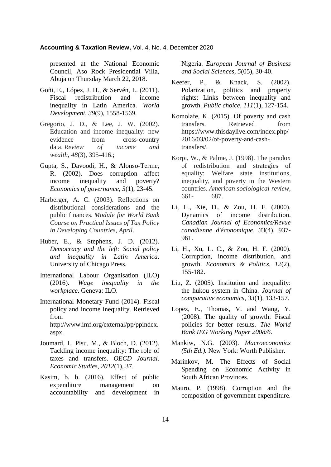presented at the National Economic Council, Aso Rock Presidential Villa, Abuja on Thursday March 22, 2018.

- Goñi, E., López, J. H., & Servén, L. (2011). Fiscal redistribution and income inequality in Latin America. *World Development*, *39*(9), 1558-1569.
- Gregorio, J. D., & Lee, J. W. (2002). Education and income inequality: new evidence from cross-country data. *Review of income and wealth*, *48*(3), 395-416.;
- Gupta, S., Davoodi, H., & Alonso-Terme, R. (2002). Does corruption affect income inequality and poverty? *Economics of governance*, *3*(1), 23-45.
- Harberger, A. C. (2003). Reflections on distributional considerations and the public finances. *Module for World Bank Course on Practical Issues of Tax Policy in Developing Countries, April*.
- Huber, E., & Stephens, J. D. (2012). *Democracy and the left: Social policy and inequality in Latin America*. University of Chicago Press.
- International Labour Organisation (ILO) (2016). *Wage inequality in the workplace*. Geneva: ILO.
- International Monetary Fund (2014). Fiscal policy and income inequality. Retrieved from http://www.imf.org/external/pp/ppindex. aspx.
- Joumard, I., Pisu, M., & Bloch, D. (2012). Tackling income inequality: The role of taxes and transfers. *OECD Journal. Economic Studies*, *2012*(1), 37.
- Kasim, b. b. (2016). Effect of public expenditure management on accountability and development in

Nigeria. *European Journal of Business and Social Sciences*, *5*(05), 30-40.

- Keefer, P., & Knack, S. (2002). Polarization, politics and property rights: Links between inequality and growth. *Public choice*, *111*(1), 127-154.
- Komolafe, K. (2015). Of poverty and cash transfers. Retrieved from https://www.thisdaylive.com/index.php/ 2016/03/02/of-poverty-and-cashtransfers/.
- Korpi, W., & Palme, J. (1998). The paradox of redistribution and strategies of equality: Welfare state institutions, inequality, and poverty in the Western countries. *American sociological review*, 661- 687.
- Li, H., Xie, D., & Zou, H. F. (2000). Dynamics of income distribution. *Canadian Journal of Economics/Revue canadienne d'économique*, *33*(4), 937- 961.
- Li, H., Xu, L. C., & Zou, H. F. (2000). Corruption, income distribution, and growth. *Economics & Politics*, *12*(2), 155-182.
- Liu, Z. (2005). Institution and inequality: the hukou system in China. *Journal of comparative economics*, *33*(1), 133-157.
- Lopez, E., Thomas, V. and Wang, Y. (2008). The quality of growth: Fiscal policies for better results. *The World Bank IEG Working Paper 2008/6*.
- Mankiw, N.G. (2003). *Macroeconomics (5th Ed.).* New York: Worth Publisher.
- Marinkov, M. The Effects of Social Spending on Economic Activity in South African Provinces.
- Mauro, P. (1998). Corruption and the composition of government expenditure.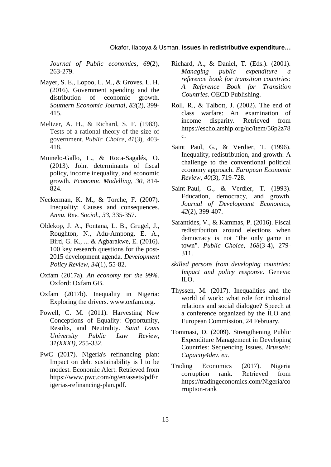*Journal of Public economics*, *69*(2), 263-279.

- Mayer, S. E., Lopoo, L. M., & Groves, L. H. (2016). Government spending and the distribution of economic growth. *Southern Economic Journal*, *83*(2), 399- 415.
- Meltzer, A. H., & Richard, S. F. (1983). Tests of a rational theory of the size of government. *Public Choice*, *41*(3), 403- 418.
- Muinelo-Gallo, L., & Roca-Sagalés, O. (2013). Joint determinants of fiscal policy, income inequality, and economic growth. *Economic Modelling*, *30*, 814- 824.
- Neckerman, K. M., & Torche, F. (2007). Inequality: Causes and consequences. *Annu. Rev. Sociol.*, *33*, 335-357.
- Oldekop, J. A., Fontana, L. B., Grugel, J., Roughton, N., Adu‐Ampong, E. A., Bird, G. K., ... & Agbarakwe, E. (2016). 100 key research questions for the post‐ 2015 development agenda. *Development Policy Review*, *34*(1), 55-82.
- Oxfam (2017a). *An economy for the 99%.* Oxford: Oxfam GB.
- Oxfam (2017b). Inequality in Nigeria: Exploring the drivers. www.oxfam.org.
- Powell, C. M. (2011). Harvesting New Conceptions of Equality: Opportunity, Results, and Neutrality. *Saint Louis University Public Law Review*, *31(XXXI)*, 255-332.
- PwC (2017). Nigeria's refinancing plan: Impact on debt sustainability is l to be modest. Economic Alert. Retrieved from https://www.pwc.com/ng/en/assets/pdf/n igerias-refinancing-plan.pdf.
- Richard, A., & Daniel, T. (Eds.). (2001). *Managing public expenditure a reference book for transition countries: A Reference Book for Transition Countries*. OECD Publishing.
- Roll, R., & Talbott, J. (2002). The end of class warfare: An examination of income disparity. Retrieved from https://escholarship.org/uc/item/56p2z78 c.
- Saint Paul, G., & Verdier, T. (1996). Inequality, redistribution, and growth: A challenge to the conventional political economy approach. *European Economic Review*, *40*(3), 719-728.
- Saint-Paul, G., & Verdier, T. (1993). Education, democracy, and growth. *Journal of Development Economics*, *42*(2), 399-407.
- Sarantides, V., & Kammas, P. (2016). Fiscal redistribution around elections when democracy is not "the only game in town". *Public Choice*, *168*(3-4), 279- 311.
- *skilled persons from developing countries: Impact and policy response*. Geneva: ILO.
- Thyssen, M. (2017). Inequalities and the world of work: what role for industrial relations and social dialogue? Speech at a conference organized by the ILO and European Commission, 24 February.
- Tommasi, D. (2009). Strengthening Public Expenditure Management in Developing Countries: Sequencing Issues. *Brussels: Capacity4dev. eu*.
- Trading Economics (2017). Nigeria corruption rank. Retrieved from [https://tradingeconomics.](https://tradingeconomics/)com/Nigeria/co rruption-rank